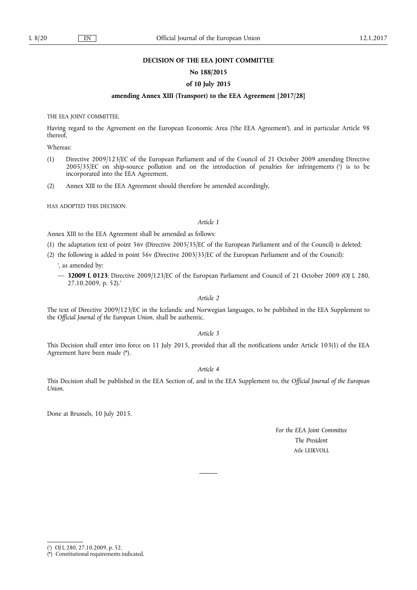#### **DECISION OF THE EEA JOINT COMMITTEE**

# **No 188/2015**

#### **of 10 July 2015**

# **amending Annex XIII (Transport) to the EEA Agreement [2017/28]**

THE EEA JOINT COMMITTEE,

Having regard to the Agreement on the European Economic Area ('the EEA Agreement'), and in particular Article 98 thereof,

Whereas:

- (1) Directive 2009/123/EC of the European Parliament and of the Council of 21 October 2009 amending Directive 2005/35/EC on ship-source pollution and on the introduction of penalties for infringements ( 1 ) is to be incorporated into the EEA Agreement.
- (2) Annex XIII to the EEA Agreement should therefore be amended accordingly,

HAS ADOPTED THIS DECISION:

#### *Article 1*

Annex XIII to the EEA Agreement shall be amended as follows:

- (1) the adaptation text of point 56v (Directive 2005/35/EC of the European Parliament and of the Council) is deleted;
- (2) the following is added in point 56v (Directive 2005/35/EC of the European Parliament and of the Council):
	- ', as amended by:
	- **32009 L 0123**: Directive 2009/123/EC of the European Parliament and Council of 21 October 2009 (OJ L 280, 27.10.2009, p. 52).'

# *Article 2*

The text of Directive 2009/123/EC in the Icelandic and Norwegian languages, to be published in the EEA Supplement to the *Official Journal of the European Union*, shall be authentic.

*Article 3* 

This Decision shall enter into force on 11 July 2015, provided that all the notifications under Article 103(1) of the EEA Agreement have been made (\*).

# *Article 4*

This Decision shall be published in the EEA Section of, and in the EEA Supplement to, the *Official Journal of the European Union*.

Done at Brussels, 10 July 2015.

*For the EEA Joint Committee The President*  Atle LEIKVOLL

<sup>(</sup> 1 ) OJ L 280, 27.10.2009, p. 52.

<sup>(\*)</sup> Constitutional requirements indicated.